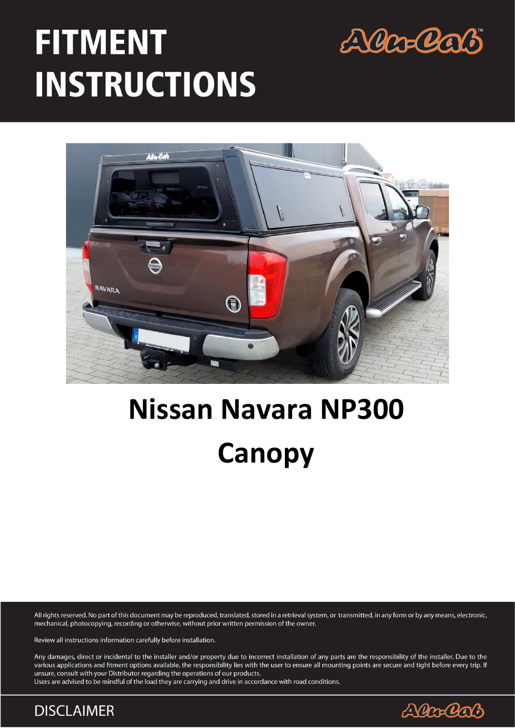

# **FITMENT INSTRUCTIONS**



# **Nissan Navara NP300 Canopy**

All rights reserved. No part of this document may be reproduced, translated, stored in a retrieval system, or transmitted, in any form or by any means, electronic, mechanical, photocopying, recording or otherwise, without prior written permission of the owner.

Review all instructions information carefully before installation.

Any damages, direct or incidental to the installer and/or property due to incorrect installation of any parts are the responsibility of the installer. Due to the various applications and fitment options available, the responsibility lies with the user to ensure all mounting points are secure and tight before every trip. If unsure, consult with your Distributor regarding the operations of our products.

Users are advised to be mindful of the load they are carrying and drive in accordance with road conditions.

**DISCLAIMER** 

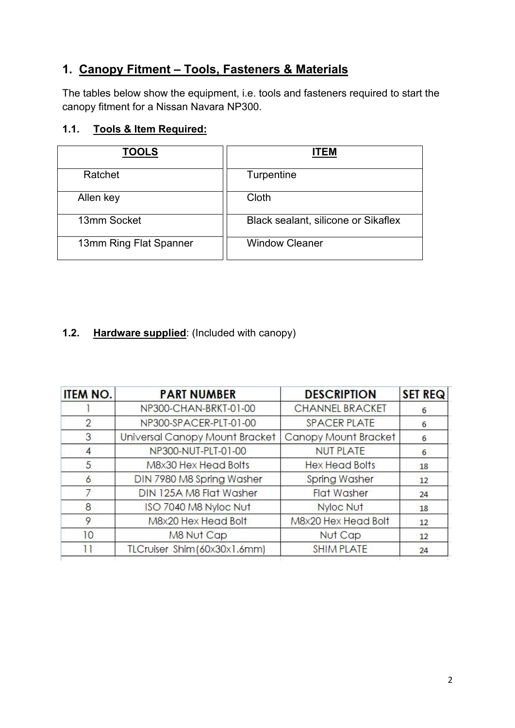# **1. Canopy Fitment – Tools, Fasteners & Materials**

The tables below show the equipment, i.e. tools and fasteners required to start the canopy fitment for a Nissan Navara NP300.

### **1.1. Tools & Item Required:**

| <b>TOOLS</b>           | <b>ITEM</b>                         |
|------------------------|-------------------------------------|
| Ratchet                | Turpentine                          |
| Allen key              | Cloth                               |
| 13mm Socket            | Black sealant, silicone or Sikaflex |
| 13mm Ring Flat Spanner | <b>Window Cleaner</b>               |
|                        |                                     |

# **1.2. Hardware supplied**: (Included with canopy)

| <b>ITEM NO.</b> | <b>PART NUMBER</b>             | <b>DESCRIPTION</b>     | <b>SET REQ</b>  |
|-----------------|--------------------------------|------------------------|-----------------|
|                 | NP300-CHAN-BRKT-01-00          | <b>CHANNEL BRACKET</b> | 6               |
| $\overline{2}$  | NP300-SPACER-PLT-01-00         | <b>SPACER PLATE</b>    | 6               |
| 3               | Universal Canopy Mount Bracket | Canopy Mount Bracket   | 6               |
| 4               | NP300-NUT-PLT-01-00            | <b>NUT PLATE</b>       | 6               |
| 5               | M8x30 Hex Head Bolts           | <b>Hex Head Bolts</b>  | 18              |
| 6               | DIN 7980 M8 Spring Washer      | <b>Spring Washer</b>   | 12 <sup>2</sup> |
|                 | DIN 125A M8 Flat Washer        | <b>Flat Washer</b>     | 24              |
| 8               | ISO 7040 M8 Nyloc Nut          | Nyloc Nut              | 18              |
| 9               | M8x20 Hex Head Bolt            | M8x20 Hex Head Bolt    | 12 <sup>2</sup> |
| 10              | M8 Nut Cap                     | Nut Cap                | 12              |
| 11              | TLCruiser Shim (60x30x1.6mm)   | <b>SHIM PLATE</b>      | 24              |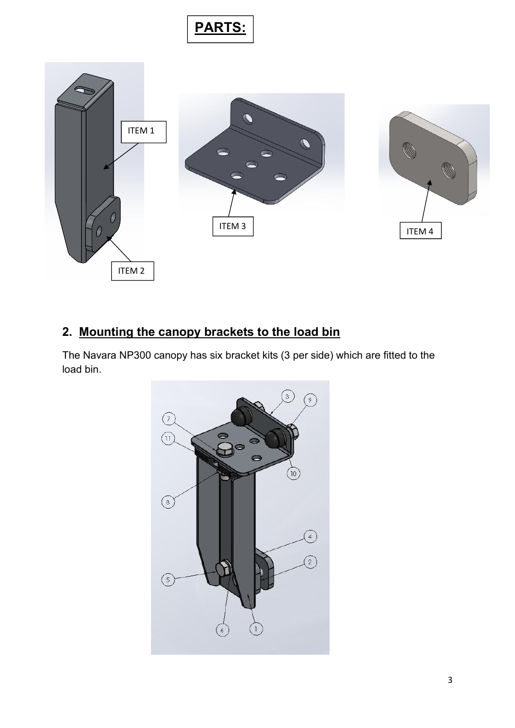



# **2. Mounting the canopy brackets to the load bin**

The Navara NP300 canopy has six bracket kits (3 per side) which are fitted to the load bin.

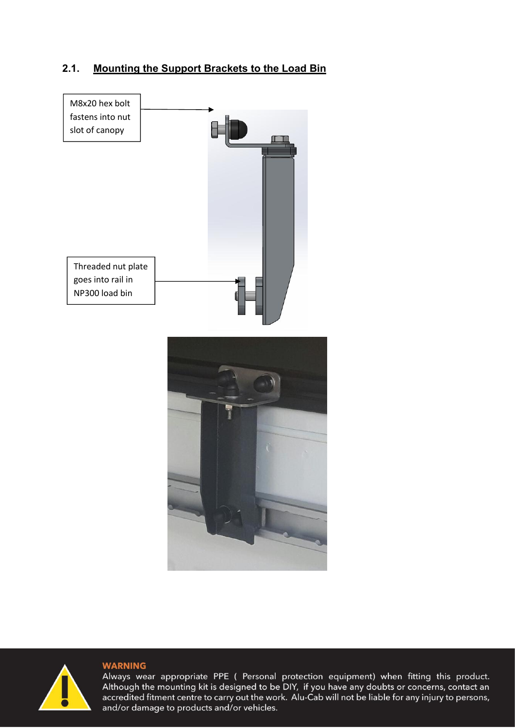### **2.1. Mounting the Support Brackets to the Load Bin**





#### **WARNING**

Always wear appropriate PPE (Personal protection equipment) when fitting this product.<br>Although the mounting kit is designed to be DIY, if you have any doubts or concerns, contact an accredited fitment centre to carry out the work. Alu-Cab will not be liable for any injury to persons, and/or damage to products and/or vehicles.